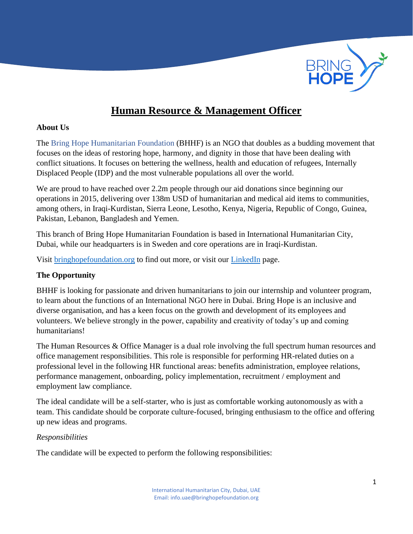

# **Human Resource & Management Officer**

#### **About Us**

The Bring Hope Humanitarian Foundation (BHHF) is an NGO that doubles as a budding movement that focuses on the ideas of restoring hope, harmony, and dignity in those that have been dealing with conflict situations. It focuses on bettering the wellness, health and education of refugees, Internally Displaced People (IDP) and the most vulnerable populations all over the world.

We are proud to have reached over 2.2m people through our aid donations since beginning our operations in 2015, delivering over 138m USD of humanitarian and medical aid items to communities, among others, in Iraqi-Kurdistan, Sierra Leone, Lesotho, Kenya, Nigeria, Republic of Congo, Guinea, Pakistan, Lebanon, Bangladesh and Yemen.

This branch of Bring Hope Humanitarian Foundation is based in International Humanitarian City, Dubai, while our headquarters is in Sweden and core operations are in Iraqi-Kurdistan.

Visit [bringhopefoundation.org](file:///C:/Users/Zubiya%20Burney/Downloads/BHHF/bringhopefoundation.org) to find out more, or visit our [LinkedIn](https://www.linkedin.com/company/bring-hope-foundation) page.

## **The Opportunity**

BHHF is looking for passionate and driven humanitarians to join our internship and volunteer program, to learn about the functions of an International NGO here in Dubai. Bring Hope is an inclusive and diverse organisation, and has a keen focus on the growth and development of its employees and volunteers. We believe strongly in the power, capability and creativity of today's up and coming humanitarians!

The Human Resources & Office Manager is a dual role involving the full spectrum human resources and office management responsibilities. This role is responsible for performing HR-related duties on a professional level in the following HR functional areas: benefits administration, employee relations, performance management, onboarding, policy implementation, recruitment / employment and employment law compliance.

The ideal candidate will be a self-starter, who is just as comfortable working autonomously as with a team. This candidate should be corporate culture-focused, bringing enthusiasm to the office and offering up new ideas and programs.

## *Responsibilities*

The candidate will be expected to perform the following responsibilities: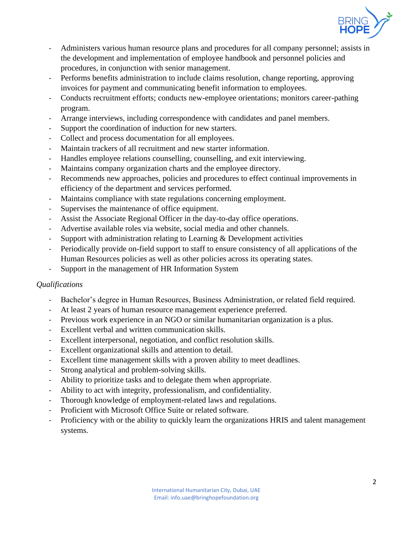

- Administers various human resource plans and procedures for all company personnel; assists in the development and implementation of employee handbook and personnel policies and procedures, in conjunction with senior management.
- Performs benefits administration to include claims resolution, change reporting, approving invoices for payment and communicating benefit information to employees.
- Conducts recruitment efforts; conducts new-employee orientations; monitors career-pathing program.
- Arrange interviews, including correspondence with candidates and panel members.
- Support the coordination of induction for new starters.
- Collect and process documentation for all employees.
- Maintain trackers of all recruitment and new starter information.
- Handles employee relations counselling, counselling, and exit interviewing.
- Maintains company organization charts and the employee directory.
- Recommends new approaches, policies and procedures to effect continual improvements in efficiency of the department and services performed.
- Maintains compliance with state regulations concerning employment.
- Supervises the maintenance of office equipment.
- Assist the Associate Regional Officer in the day-to-day office operations.
- Advertise available roles via website, social media and other channels.
- Support with administration relating to Learning & Development activities
- Periodically provide on-field support to staff to ensure consistency of all applications of the Human Resources policies as well as other policies across its operating states.
- Support in the management of HR Information System

## *Qualifications*

- Bachelor's degree in Human Resources, Business Administration, or related field required.
- At least 2 years of human resource management experience preferred.
- Previous work experience in an NGO or similar humanitarian organization is a plus.
- Excellent verbal and written communication skills.
- Excellent interpersonal, negotiation, and conflict resolution skills.
- Excellent organizational skills and attention to detail.
- Excellent time management skills with a proven ability to meet deadlines.
- Strong analytical and problem-solving skills.
- Ability to prioritize tasks and to delegate them when appropriate.
- Ability to act with integrity, professionalism, and confidentiality.
- Thorough knowledge of employment-related laws and regulations.
- Proficient with Microsoft Office Suite or related software.
- Proficiency with or the ability to quickly learn the organizations HRIS and talent management systems.